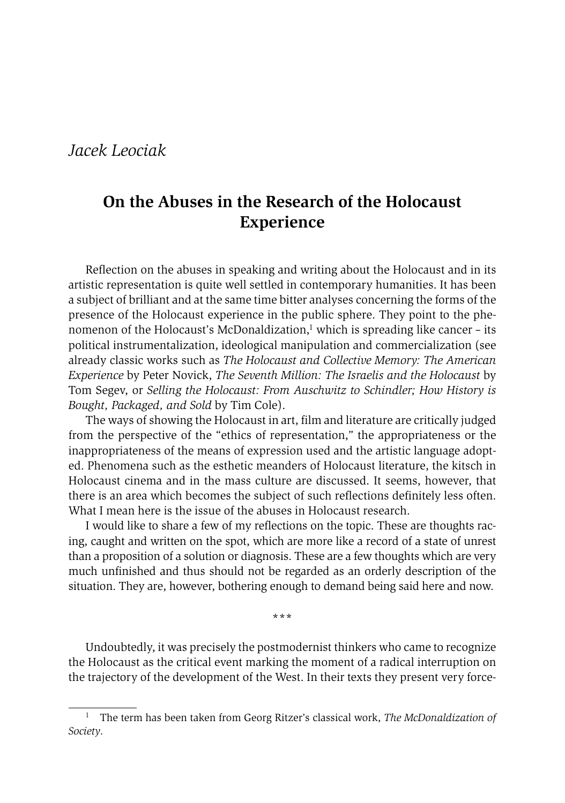## *Jacek Leociak*

## **On the Abuses in the Research of the Holocaust Experience**

Reflection on the abuses in speaking and writing about the Holocaust and in its artistic representation is quite well settled in contemporary humanities. It has been a subject of brilliant and at the same time bitter analyses concerning the forms of the presence of the Holocaust experience in the public sphere. They point to the phenomenon of the Holocaust's McDonaldization, $\frac{1}{1}$  which is spreading like cancer – its political instrumentalization, ideological manipulation and commercialization (see already classic works such as *The Holocaust and Collective Memory: The American Experience* by Peter Novick, *The Seventh Million: The Israelis and the Holocaust* by Tom Segev, or *Selling the Holocaust: From Auschwitz to Schindler; How History is Bought, Packaged, and Sold* by Tim Cole).

The ways of showing the Holocaust in art, film and literature are critically judged from the perspective of the "ethics of representation," the appropriateness or the inappropriateness of the means of expression used and the artistic language adopted. Phenomena such as the esthetic meanders of Holocaust literature, the kitsch in Holocaust cinema and in the mass culture are discussed. It seems, however, that there is an area which becomes the subject of such reflections definitely less often. What I mean here is the issue of the abuses in Holocaust research.

I would like to share a few of my reflections on the topic. These are thoughts racing, caught and written on the spot, which are more like a record of a state of unrest than a proposition of a solution or diagnosis. These are a few thoughts which are very much unfinished and thus should not be regarded as an orderly description of the situation. They are, however, bothering enough to demand being said here and now.

**\*\*\***

Undoubtedly, it was precisely the postmodernist thinkers who came to recognize the Holocaust as the critical event marking the moment of a radical interruption on the trajectory of the development of the West. In their texts they present very force-

<sup>&</sup>lt;sup>1</sup> The term has been taken from Georg Ritzer's classical work, *The McDonaldization of Society*.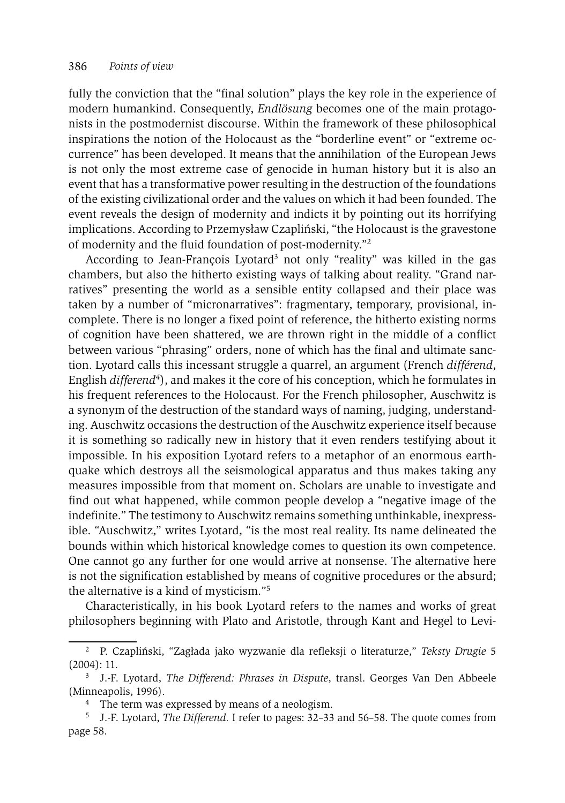fully the conviction that the "final solution" plays the key role in the experience of modern humankind. Consequently, *Endlösung* becomes one of the main protagonists in the postmodernist discourse. Within the framework of these philosophical inspirations the notion of the Holocaust as the "borderline event" or "extreme occurrence" has been developed. It means that the annihilation of the European Jews is not only the most extreme case of genocide in human history but it is also an event that has a transformative power resulting in the destruction of the foundations of the existing civilizational order and the values on which it had been founded. The event reveals the design of modernity and indicts it by pointing out its horrifying implications. According to Przemysław Czapliński, "the Holocaust is the gravestone of modernity and the fluid foundation of post-modernity."2

According to Jean-François Lyotard<sup>3</sup> not only "reality" was killed in the gas chambers, but also the hitherto existing ways of talking about reality. "Grand narratives" presenting the world as a sensible entity collapsed and their place was taken by a number of "micronarratives": fragmentary, temporary, provisional, incomplete. There is no longer a fixed point of reference, the hitherto existing norms of cognition have been shattered, we are thrown right in the middle of a conflict between various "phrasing" orders, none of which has the final and ultimate sanction. Lyotard calls this incessant struggle a quarrel, an argument (French *différend*, English *differend4*), and makes it the core of his conception, which he formulates in his frequent references to the Holocaust. For the French philosopher, Auschwitz is a synonym of the destruction of the standard ways of naming, judging, understanding. Auschwitz occasions the destruction of the Auschwitz experience itself because it is something so radically new in history that it even renders testifying about it impossible. In his exposition Lyotard refers to a metaphor of an enormous earthquake which destroys all the seismological apparatus and thus makes taking any measures impossible from that moment on. Scholars are unable to investigate and find out what happened, while common people develop a "negative image of the indefinite." The testimony to Auschwitz remains something unthinkable, inexpressible. "Auschwitz," writes Lyotard, "is the most real reality. Its name delineated the bounds within which historical knowledge comes to question its own competence. One cannot go any further for one would arrive at nonsense. The alternative here is not the signification established by means of cognitive procedures or the absurd; the alternative is a kind of mysticism."5

Characteristically, in his book Lyotard refers to the names and works of great philosophers beginning with Plato and Aristotle, through Kant and Hegel to Levi-

<sup>2</sup> P. Czapliński, "Zagłada jako wyzwanie dla refleksji o literaturze," *Teksty Drugie* 5 (2004): 11.

<sup>3</sup> J.-F. Lyotard, *The Differend: Phrases in Dispute*, transl. Georges Van Den Abbeele (Minneapolis, 1996).

<sup>&</sup>lt;sup>4</sup> The term was expressed by means of a neologism.

<sup>5</sup> J.-F. Lyotard, *The Differend.* I refer to pages: 32–33 and 56–58. The quote comes from page 58.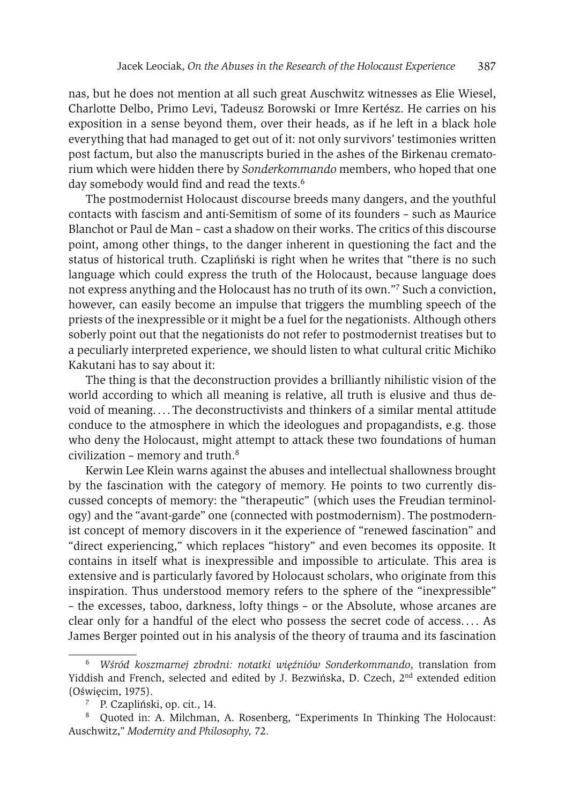nas, but he does not mention at all such great Auschwitz witnesses as Elie Wiesel, Charlotte Delbo, Primo Levi, Tadeusz Borowski or Imre Kertész. He carries on his exposition in a sense beyond them, over their heads, as if he left in a black hole everything that had managed to get out of it: not only survivors' testimonies written post factum, but also the manuscripts buried in the ashes of the Birkenau crematorium which were hidden there by *Sonderkommando* members, who hoped that one day somebody would find and read the texts.<sup>6</sup>

The postmodernist Holocaust discourse breeds many dangers, and the youthful contacts with fascism and anti-Semitism of some of its founders – such as Maurice Blanchot or Paul de Man – cast a shadow on their works. The critics of this discourse point, among other things, to the danger inherent in questioning the fact and the status of historical truth. Czapliński is right when he writes that "there is no such language which could express the truth of the Holocaust, because language does not express anything and the Holocaust has no truth of its own."7 Such a conviction, however, can easily become an impulse that triggers the mumbling speech of the priests of the inexpressible or it might be a fuel for the negationists. Although others soberly point out that the negationists do not refer to postmodernist treatises but to a peculiarly interpreted experience, we should listen to what cultural critic Michiko Kakutani has to say about it:

The thing is that the deconstruction provides a brilliantly nihilistic vision of the world according to which all meaning is relative, all truth is elusive and thus devoid of meaning. . . . The deconstructivists and thinkers of a similar mental attitude conduce to the atmosphere in which the ideologues and propagandists, e.g. those who deny the Holocaust, might attempt to attack these two foundations of human civilization – memory and truth.8

Kerwin Lee Klein warns against the abuses and intellectual shallowness brought by the fascination with the category of memory. He points to two currently discussed concepts of memory: the "therapeutic" (which uses the Freudian terminology) and the "avant-garde" one (connected with postmodernism). The postmodernist concept of memory discovers in it the experience of "renewed fascination" and "direct experiencing," which replaces "history" and even becomes its opposite. It contains in itself what is inexpressible and impossible to articulate. This area is extensive and is particularly favored by Holocaust scholars, who originate from this inspiration. Thus understood memory refers to the sphere of the "inexpressible" – the excesses, taboo, darkness, lofty things – or the Absolute, whose arcanes are clear only for a handful of the elect who possess the secret code of access. . . . As James Berger pointed out in his analysis of the theory of trauma and its fascination

<sup>6</sup> *Wśród koszmarnej zbrodni: notatki więźniów Sonderkommando*, translation from Yiddish and French, selected and edited by J. Bezwińska, D. Czech, 2nd extended edition (Oświęcim, 1975).

<sup>7</sup> P. Czapliński, op. cit., 14.

<sup>8</sup> Quoted in: A. Milchman, A. Rosenberg, "Experiments In Thinking The Holocaust: Auschwitz," *Modernity and Philosophy,* 72.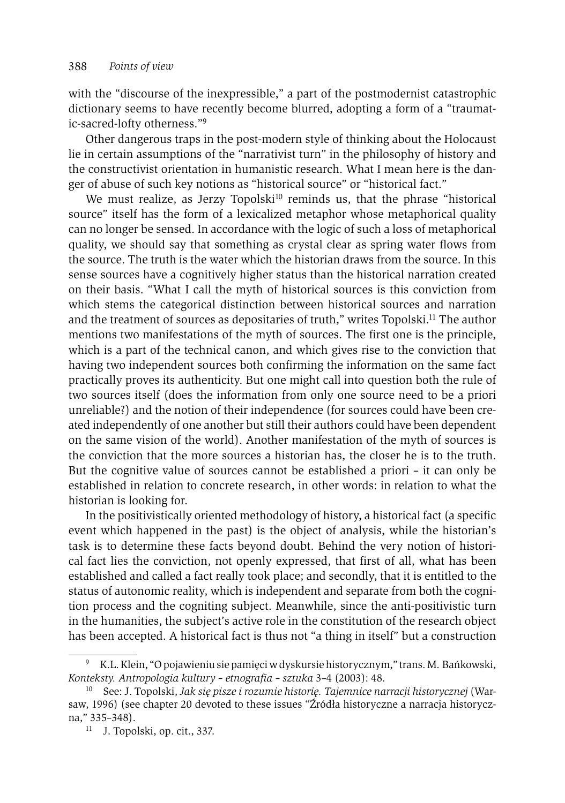with the "discourse of the inexpressible," a part of the postmodernist catastrophic dictionary seems to have recently become blurred, adopting a form of a "traumatic-sacred-lofty otherness."9

Other dangerous traps in the post-modern style of thinking about the Holocaust lie in certain assumptions of the "narrativist turn" in the philosophy of history and the constructivist orientation in humanistic research. What I mean here is the danger of abuse of such key notions as "historical source" or "historical fact."

We must realize, as Jerzy Topolski<sup>10</sup> reminds us, that the phrase "historical source" itself has the form of a lexicalized metaphor whose metaphorical quality can no longer be sensed. In accordance with the logic of such a loss of metaphorical quality, we should say that something as crystal clear as spring water flows from the source. The truth is the water which the historian draws from the source. In this sense sources have a cognitively higher status than the historical narration created on their basis. "What I call the myth of historical sources is this conviction from which stems the categorical distinction between historical sources and narration and the treatment of sources as depositaries of truth," writes Topolski.11 The author mentions two manifestations of the myth of sources. The first one is the principle, which is a part of the technical canon, and which gives rise to the conviction that having two independent sources both confirming the information on the same fact practically proves its authenticity. But one might call into question both the rule of two sources itself (does the information from only one source need to be a priori unreliable?) and the notion of their independence (for sources could have been created independently of one another but still their authors could have been dependent on the same vision of the world). Another manifestation of the myth of sources is the conviction that the more sources a historian has, the closer he is to the truth. But the cognitive value of sources cannot be established a priori – it can only be established in relation to concrete research, in other words: in relation to what the historian is looking for.

In the positivistically oriented methodology of history, a historical fact (a specific event which happened in the past) is the object of analysis, while the historian's task is to determine these facts beyond doubt. Behind the very notion of historical fact lies the conviction, not openly expressed, that first of all, what has been established and called a fact really took place; and secondly, that it is entitled to the status of autonomic reality, which is independent and separate from both the cognition process and the cogniting subject. Meanwhile, since the anti-positivistic turn in the humanities, the subject's active role in the constitution of the research object has been accepted. A historical fact is thus not "a thing in itself" but a construction

<sup>9</sup> K.L. Klein, "O pojawieniu sie pamięci w dyskursie historycznym," trans. M. Bańkowski, *Konteksty. Antropologia kultury – etnografia – sztuka* 3–4 (2003): 48.

<sup>10</sup> See: J. Topolski, *Jak się pisze i rozumie historię. Tajemnice narracji historycznej* (Warsaw, 1996) (see chapter 20 devoted to these issues "Źródła historyczne a narracja historyczna," 335–348).

<sup>11</sup> J. Topolski, op. cit., 337.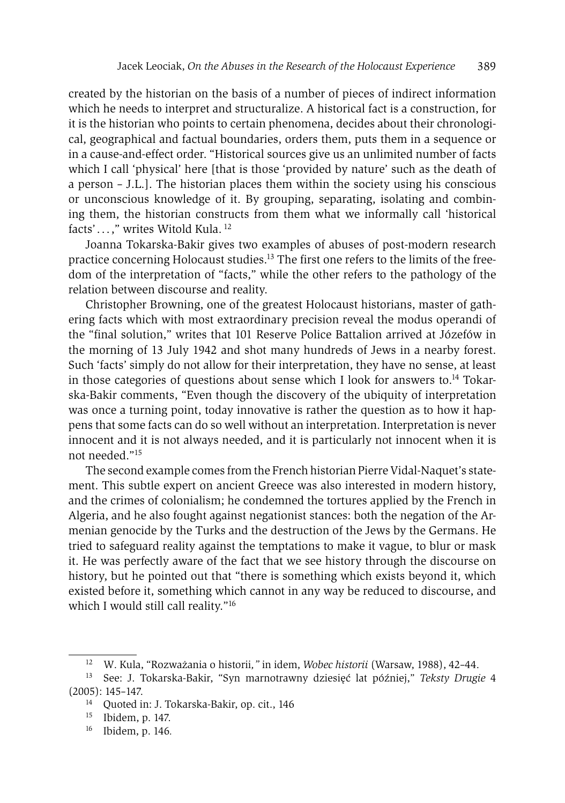created by the historian on the basis of a number of pieces of indirect information which he needs to interpret and structuralize. A historical fact is a construction, for it is the historian who points to certain phenomena, decides about their chronological, geographical and factual boundaries, orders them, puts them in a sequence or in a cause-and-effect order. "Historical sources give us an unlimited number of facts which I call 'physical' here [that is those 'provided by nature' such as the death of a person – J.L.]. The historian places them within the society using his conscious or unconscious knowledge of it. By grouping, separating, isolating and combining them, the historian constructs from them what we informally call 'historical facts' . . . ," writes Witold Kula. 12

Joanna Tokarska-Bakir gives two examples of abuses of post-modern research practice concerning Holocaust studies.<sup>13</sup> The first one refers to the limits of the freedom of the interpretation of "facts," while the other refers to the pathology of the relation between discourse and reality.

Christopher Browning, one of the greatest Holocaust historians, master of gathering facts which with most extraordinary precision reveal the modus operandi of the "final solution," writes that 101 Reserve Police Battalion arrived at Józefów in the morning of 13 July 1942 and shot many hundreds of Jews in a nearby forest. Such 'facts' simply do not allow for their interpretation, they have no sense, at least in those categories of questions about sense which I look for answers to.<sup>14</sup> Tokarska-Bakir comments, "Even though the discovery of the ubiquity of interpretation was once a turning point, today innovative is rather the question as to how it happens that some facts can do so well without an interpretation. Interpretation is never innocent and it is not always needed, and it is particularly not innocent when it is not needed."15

The second example comes from the French historian Pierre Vidal-Naquet's statement. This subtle expert on ancient Greece was also interested in modern history, and the crimes of colonialism; he condemned the tortures applied by the French in Algeria, and he also fought against negationist stances: both the negation of the Armenian genocide by the Turks and the destruction of the Jews by the Germans. He tried to safeguard reality against the temptations to make it vague, to blur or mask it. He was perfectly aware of the fact that we see history through the discourse on history, but he pointed out that "there is something which exists beyond it, which existed before it, something which cannot in any way be reduced to discourse, and which I would still call reality."<sup>16</sup>

<sup>12</sup> W. Kula, "Rozważania o historii*,"* in idem, *Wobec historii* (Warsaw, 1988), 42–44.

<sup>13</sup> See: J. Tokarska-Bakir, "Syn marnotrawny dziesięć lat później," *Teksty Drugie* 4  $(2005): 145-147.$ <br><sup>14</sup> Ouoted in

<sup>14</sup> Quoted in: J. Tokarska-Bakir, op. cit., 146

<sup>15</sup> Ibidem, p. 147.

<sup>16</sup> Ibidem, p. 146*.*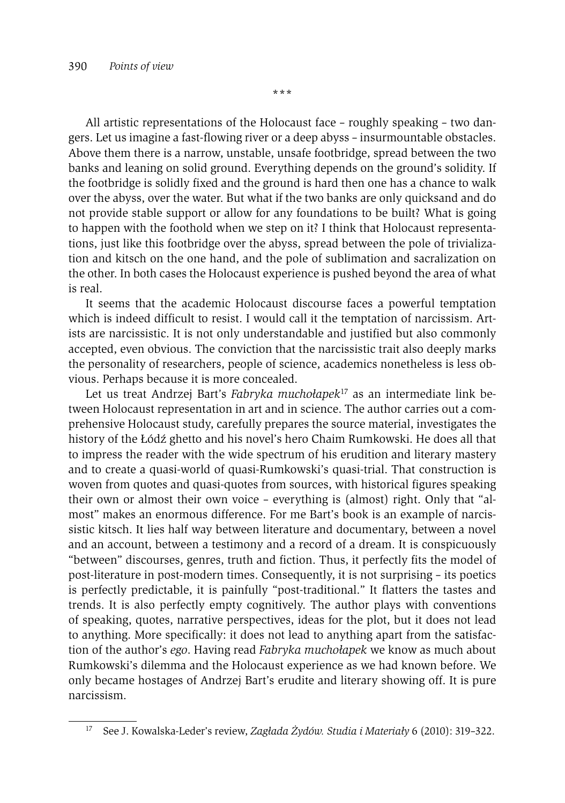**\*\*\***

All artistic representations of the Holocaust face – roughly speaking – two dangers. Let us imagine a fast-flowing river or a deep abyss – insurmountable obstacles. Above them there is a narrow, unstable, unsafe footbridge, spread between the two banks and leaning on solid ground. Everything depends on the ground's solidity. If the footbridge is solidly fixed and the ground is hard then one has a chance to walk over the abyss, over the water. But what if the two banks are only quicksand and do not provide stable support or allow for any foundations to be built? What is going to happen with the foothold when we step on it? I think that Holocaust representations, just like this footbridge over the abyss, spread between the pole of trivialization and kitsch on the one hand, and the pole of sublimation and sacralization on the other. In both cases the Holocaust experience is pushed beyond the area of what is real.

It seems that the academic Holocaust discourse faces a powerful temptation which is indeed difficult to resist. I would call it the temptation of narcissism. Artists are narcissistic. It is not only understandable and justified but also commonly accepted, even obvious. The conviction that the narcissistic trait also deeply marks the personality of researchers, people of science, academics nonetheless is less obvious. Perhaps because it is more concealed.

Let us treat Andrzej Bart's *Fabryka muchołapek*17 as an intermediate link between Holocaust representation in art and in science. The author carries out a comprehensive Holocaust study, carefully prepares the source material, investigates the history of the Łódź ghetto and his novel's hero Chaim Rumkowski. He does all that to impress the reader with the wide spectrum of his erudition and literary mastery and to create a quasi-world of quasi-Rumkowski's quasi-trial. That construction is woven from quotes and quasi-quotes from sources, with historical figures speaking their own or almost their own voice – everything is (almost) right. Only that "almost" makes an enormous difference. For me Bart's book is an example of narcissistic kitsch. It lies half way between literature and documentary, between a novel and an account, between a testimony and a record of a dream. It is conspicuously "between" discourses, genres, truth and fiction. Thus, it perfectly fits the model of post-literature in post-modern times. Consequently, it is not surprising – its poetics is perfectly predictable, it is painfully "post-traditional." It flatters the tastes and trends. It is also perfectly empty cognitively. The author plays with conventions of speaking, quotes, narrative perspectives, ideas for the plot, but it does not lead to anything. More specifically: it does not lead to anything apart from the satisfaction of the author's *ego*. Having read *Fabryka muchołapek* we know as much about Rumkowski's dilemma and the Holocaust experience as we had known before. We only became hostages of Andrzej Bart's erudite and literary showing off. It is pure narcissism.

<sup>17</sup> See J. Kowalska-Leder's review, *Zagłada Żydów. Studia i Materiały* 6 (2010): 319–322.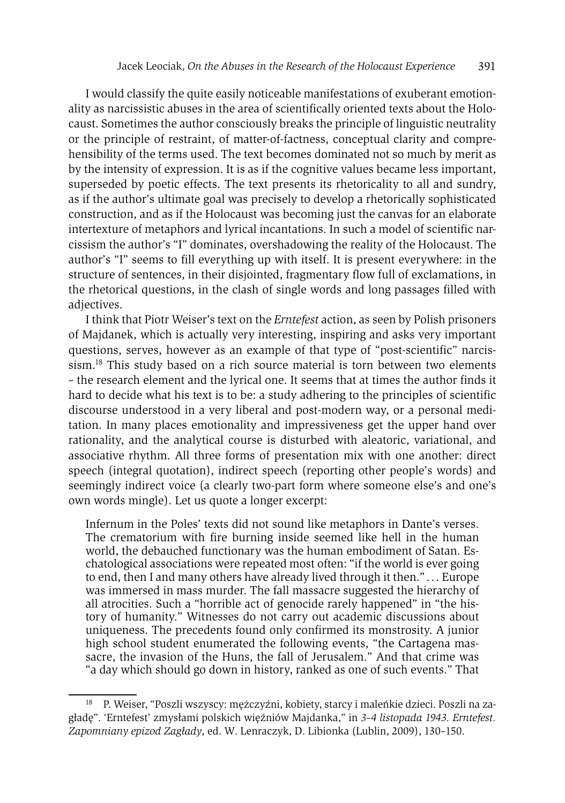I would classify the quite easily noticeable manifestations of exuberant emotionality as narcissistic abuses in the area of scientifically oriented texts about the Holocaust. Sometimes the author consciously breaks the principle of linguistic neutrality or the principle of restraint, of matter-of-factness, conceptual clarity and comprehensibility of the terms used. The text becomes dominated not so much by merit as by the intensity of expression. It is as if the cognitive values became less important, superseded by poetic effects. The text presents its rhetoricality to all and sundry, as if the author's ultimate goal was precisely to develop a rhetorically sophisticated construction, and as if the Holocaust was becoming just the canvas for an elaborate intertexture of metaphors and lyrical incantations. In such a model of scientific narcissism the author's "I" dominates, overshadowing the reality of the Holocaust. The author's "I" seems to fill everything up with itself. It is present everywhere: in the structure of sentences, in their disjointed, fragmentary flow full of exclamations, in the rhetorical questions, in the clash of single words and long passages filled with adjectives.

I think that Piotr Weiser's text on the *Erntefest* action, as seen by Polish prisoners of Majdanek, which is actually very interesting, inspiring and asks very important questions, serves, however as an example of that type of "post-scientific" narcissism.18 This study based on a rich source material is torn between two elements – the research element and the lyrical one. It seems that at times the author finds it hard to decide what his text is to be: a study adhering to the principles of scientific discourse understood in a very liberal and post-modern way, or a personal meditation. In many places emotionality and impressiveness get the upper hand over rationality, and the analytical course is disturbed with aleatoric, variational, and associative rhythm. All three forms of presentation mix with one another: direct speech (integral quotation), indirect speech (reporting other people's words) and seemingly indirect voice (a clearly two-part form where someone else's and one's own words mingle). Let us quote a longer excerpt:

Infernum in the Poles' texts did not sound like metaphors in Dante's verses. The crematorium with fire burning inside seemed like hell in the human world, the debauched functionary was the human embodiment of Satan. Eschatological associations were repeated most often: "if the world is ever going to end, then I and many others have already lived through it then."... Europe was immersed in mass murder. The fall massacre suggested the hierarchy of all atrocities. Such a "horrible act of genocide rarely happened" in "the history of humanity." Witnesses do not carry out academic discussions about uniqueness. The precedents found only confirmed its monstrosity. A junior high school student enumerated the following events, "the Cartagena massacre, the invasion of the Huns, the fall of Jerusalem." And that crime was "a day which should go down in history, ranked as one of such events." That

<sup>&</sup>lt;sup>18</sup> P. Weiser, "Poszli wszyscy: mężczyźni, kobiety, starcy i maleńkie dzieci. Poszli na zagładę". 'Erntefest' zmysłami polskich więźniów Majdanka," in *3–4 listopada 1943. Erntefest. Zapomniany epizod Zagłady*, ed. W. Lenraczyk, D. Libionka (Lublin, 2009), 130–150.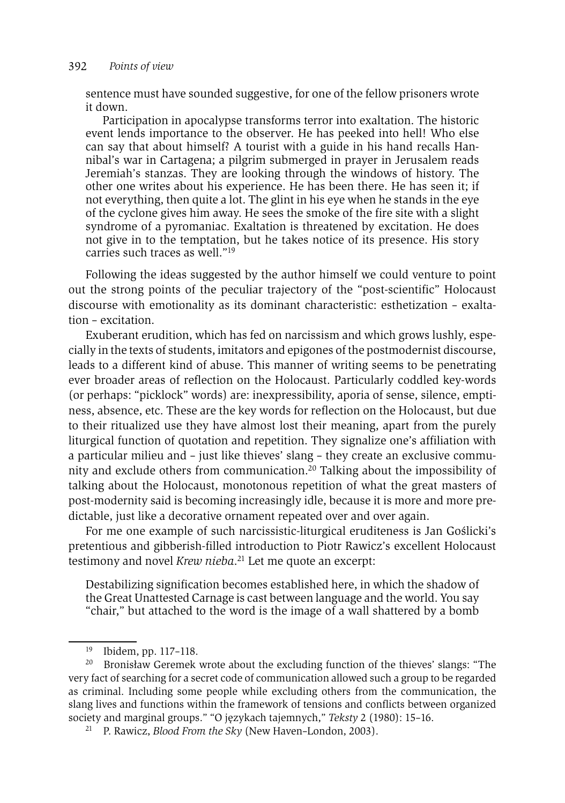sentence must have sounded suggestive, for one of the fellow prisoners wrote it down.

Participation in apocalypse transforms terror into exaltation. The historic event lends importance to the observer. He has peeked into hell! Who else can say that about himself? A tourist with a guide in his hand recalls Hannibal's war in Cartagena; a pilgrim submerged in prayer in Jerusalem reads Jeremiah's stanzas. They are looking through the windows of history. The other one writes about his experience. He has been there. He has seen it; if not everything, then quite a lot. The glint in his eye when he stands in the eye of the cyclone gives him away. He sees the smoke of the fire site with a slight syndrome of a pyromaniac. Exaltation is threatened by excitation. He does not give in to the temptation, but he takes notice of its presence. His story carries such traces as well."19

Following the ideas suggested by the author himself we could venture to point out the strong points of the peculiar trajectory of the "post-scientific" Holocaust discourse with emotionality as its dominant characteristic: esthetization – exaltation – excitation.

Exuberant erudition, which has fed on narcissism and which grows lushly, especially in the texts of students, imitators and epigones of the postmodernist discourse, leads to a different kind of abuse. This manner of writing seems to be penetrating ever broader areas of reflection on the Holocaust. Particularly coddled key-words (or perhaps: "picklock" words) are: inexpressibility, aporia of sense, silence, emptiness, absence, etc. These are the key words for reflection on the Holocaust, but due to their ritualized use they have almost lost their meaning, apart from the purely liturgical function of quotation and repetition. They signalize one's affiliation with a particular milieu and – just like thieves' slang – they create an exclusive community and exclude others from communication.20 Talking about the impossibility of talking about the Holocaust, monotonous repetition of what the great masters of post-modernity said is becoming increasingly idle, because it is more and more predictable, just like a decorative ornament repeated over and over again.

For me one example of such narcissistic-liturgical eruditeness is Jan Goślicki's pretentious and gibberish-filled introduction to Piotr Rawicz's excellent Holocaust testimony and novel *Krew nieba*. 21 Let me quote an excerpt:

Destabilizing signification becomes established here, in which the shadow of the Great Unattested Carnage is cast between language and the world. You say "chair," but attached to the word is the image of a wall shattered by a bomb

<sup>19</sup> Ibidem, pp. 117–118.

<sup>&</sup>lt;sup>20</sup> Bronisław Geremek wrote about the excluding function of the thieves' slangs: "The very fact of searching for a secret code of communication allowed such a group to be regarded as criminal. Including some people while excluding others from the communication, the slang lives and functions within the framework of tensions and conflicts between organized society and marginal groups." "O językach tajemnych," *Teksty* 2 (1980): 15–16.

<sup>21</sup> P. Rawicz, *Blood From the Sky* (New Haven–London, 2003).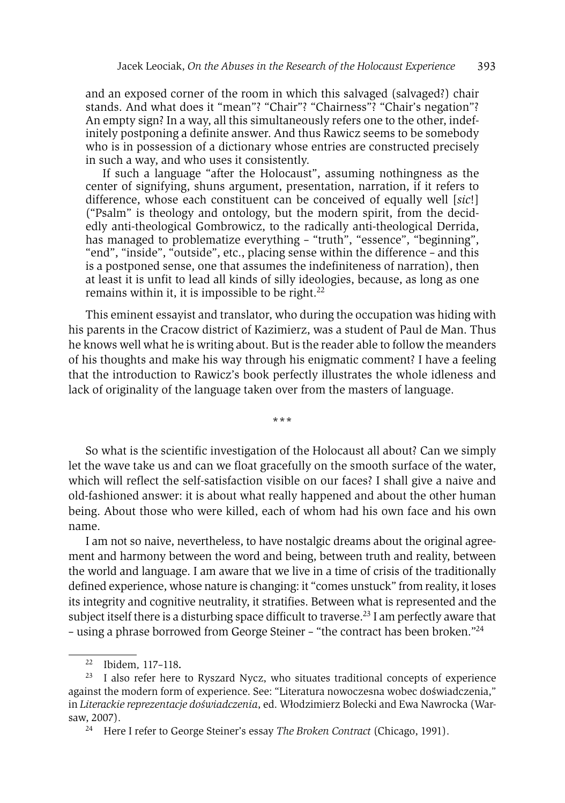and an exposed corner of the room in which this salvaged (salvaged?) chair stands. And what does it "mean"? "Chair"? "Chairness"? "Chair's negation"? An empty sign? In a way, all this simultaneously refers one to the other, indefinitely postponing a definite answer. And thus Rawicz seems to be somebody who is in possession of a dictionary whose entries are constructed precisely in such a way, and who uses it consistently.

If such a language "after the Holocaust", assuming nothingness as the center of signifying, shuns argument, presentation, narration, if it refers to difference, whose each constituent can be conceived of equally well [*sic*!] ("Psalm" is theology and ontology, but the modern spirit, from the decidedly anti-theological Gombrowicz, to the radically anti-theological Derrida, has managed to problematize everything - "truth", "essence", "beginning", "end", "inside", "outside", etc., placing sense within the difference – and this is a postponed sense, one that assumes the indefiniteness of narration), then at least it is unfit to lead all kinds of silly ideologies, because, as long as one remains within it, it is impossible to be right.22

This eminent essayist and translator, who during the occupation was hiding with his parents in the Cracow district of Kazimierz, was a student of Paul de Man. Thus he knows well what he is writing about. But is the reader able to follow the meanders of his thoughts and make his way through his enigmatic comment? I have a feeling that the introduction to Rawicz's book perfectly illustrates the whole idleness and lack of originality of the language taken over from the masters of language.

**\*\*\***

So what is the scientific investigation of the Holocaust all about? Can we simply let the wave take us and can we float gracefully on the smooth surface of the water, which will reflect the self-satisfaction visible on our faces? I shall give a naive and old-fashioned answer: it is about what really happened and about the other human being. About those who were killed, each of whom had his own face and his own name.

I am not so naive, nevertheless, to have nostalgic dreams about the original agreement and harmony between the word and being, between truth and reality, between the world and language. I am aware that we live in a time of crisis of the traditionally defined experience, whose nature is changing: it "comes unstuck" from reality, it loses its integrity and cognitive neutrality, it stratifies. Between what is represented and the subject itself there is a disturbing space difficult to traverse.<sup>23</sup> I am perfectly aware that – using a phrase borrowed from George Steiner – "the contract has been broken."24

<sup>22</sup> Ibidem*,* 117–118*.* 

<sup>&</sup>lt;sup>23</sup> I also refer here to Ryszard Nycz, who situates traditional concepts of experience against the modern form of experience. See: "Literatura nowoczesna wobec doświadczenia," in *Literackie reprezentacje doświadczenia*, ed. Włodzimierz Bolecki and Ewa Nawrocka (Warsaw, 2007).

<sup>24</sup> Here I refer to George Steiner's essay *The Broken Contract* (Chicago, 1991).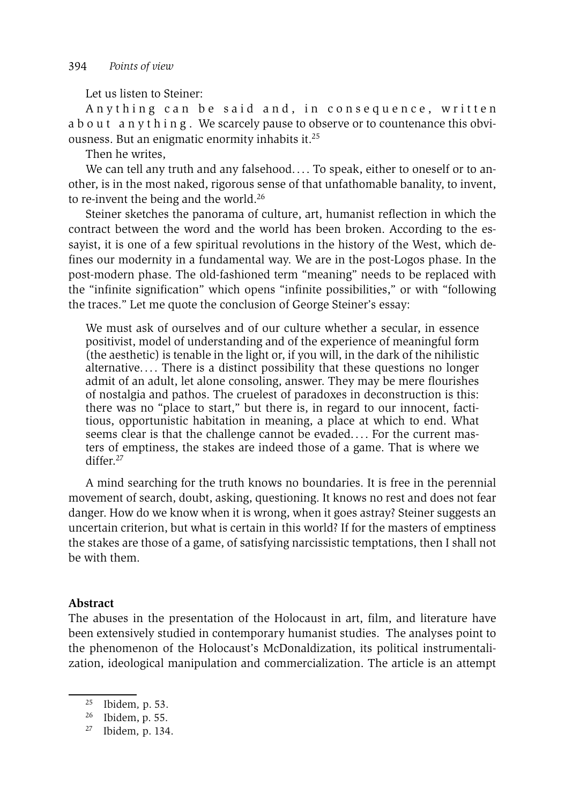Let us listen to Steiner:

Anything can be said and, in consequence, written a b o u t a n y t h i n g . We scarcely pause to observe or to countenance this obviousness. But an enigmatic enormity inhabits it.25

Then he writes,

We can tell any truth and any falsehood.... To speak, either to oneself or to another, is in the most naked, rigorous sense of that unfathomable banality, to invent, to re-invent the being and the world.26

Steiner sketches the panorama of culture, art, humanist reflection in which the contract between the word and the world has been broken. According to the essayist, it is one of a few spiritual revolutions in the history of the West, which defines our modernity in a fundamental way. We are in the post-Logos phase. In the post-modern phase. The old-fashioned term "meaning" needs to be replaced with the "infinite signification" which opens "infinite possibilities," or with "following the traces." Let me quote the conclusion of George Steiner's essay:

We must ask of ourselves and of our culture whether a secular, in essence positivist, model of understanding and of the experience of meaningful form (the aesthetic) is tenable in the light or, if you will, in the dark of the nihilistic alternative.... There is a distinct possibility that these questions no longer admit of an adult, let alone consoling, answer. They may be mere flourishes of nostalgia and pathos. The cruelest of paradoxes in deconstruction is this: there was no "place to start," but there is, in regard to our innocent, factitious, opportunistic habitation in meaning, a place at which to end. What seems clear is that the challenge cannot be evaded.... For the current masters of emptiness, the stakes are indeed those of a game. That is where we differ.<sup>27</sup>

A mind searching for the truth knows no boundaries. It is free in the perennial movement of search, doubt, asking, questioning. It knows no rest and does not fear danger. How do we know when it is wrong, when it goes astray? Steiner suggests an uncertain criterion, but what is certain in this world? If for the masters of emptiness the stakes are those of a game, of satisfying narcissistic temptations, then I shall not be with them.

## **Abstract**

The abuses in the presentation of the Holocaust in art, film, and literature have been extensively studied in contemporary humanist studies. The analyses point to the phenomenon of the Holocaust's McDonaldization, its political instrumentalization, ideological manipulation and commercialization. The article is an attempt

<sup>25</sup> Ibidem*,* p. 53. 26 Ibidem, p. 55.

<sup>27</sup> Ibidem*,* p. 134.